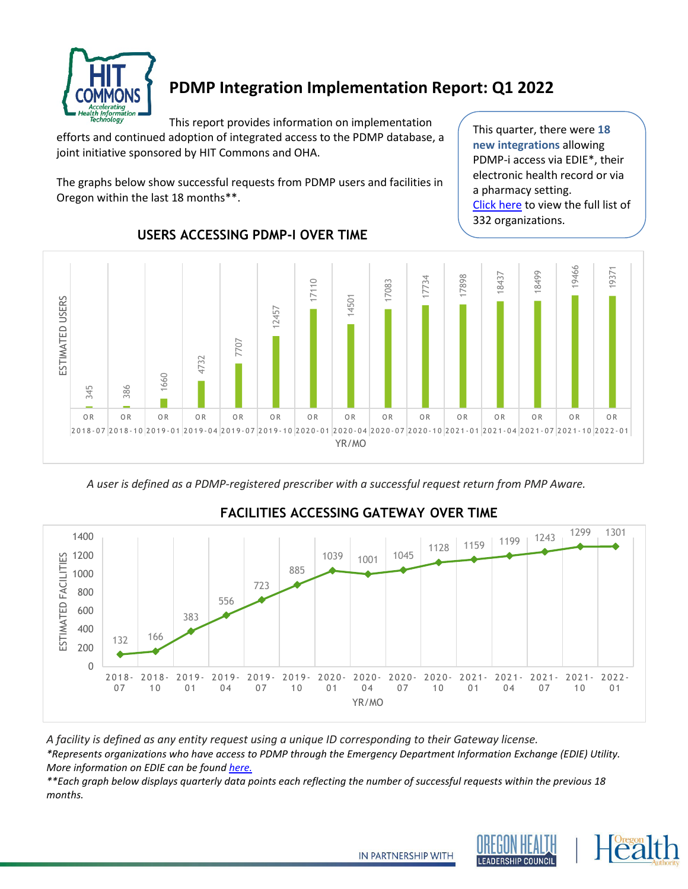

# **PDMP Integration Implementation Report: Q1 2022**

This report provides information on implementation

efforts and continued adoption of integrated access to the PDMP database, a joint initiative sponsored by HIT Commons and OHA.

The graphs below show successful requests from PDMP users and facilities in Oregon within the last 18 months\*\*.

This quarter, there were **18 new integrations** allowing PDMP-i access via EDIE\*, their electronic health record or via a pharmacy setting. [Click here](#page-1-0) to view the full list of organizations.



### **USERS ACCESSING PDMP-I OVER TIME**

*A user is defined as a PDMP-registered prescriber with a successful request return from PMP Aware.*



## **FACILITIES ACCESSING GATEWAY OVER TIME**

*A facility is defined as any entity request using a unique ID corresponding to their Gateway license.*

*\*Represents organizations who have access to PDMP through the Emergency Department Information Exchange (EDIE) Utility. More information on EDIE can be found [here.](http://www.orhealthleadershipcouncil.org/edie/)* 

*\*\*Each graph below displays quarterly data points each reflecting the number of successful requests within the previous 18 months.*





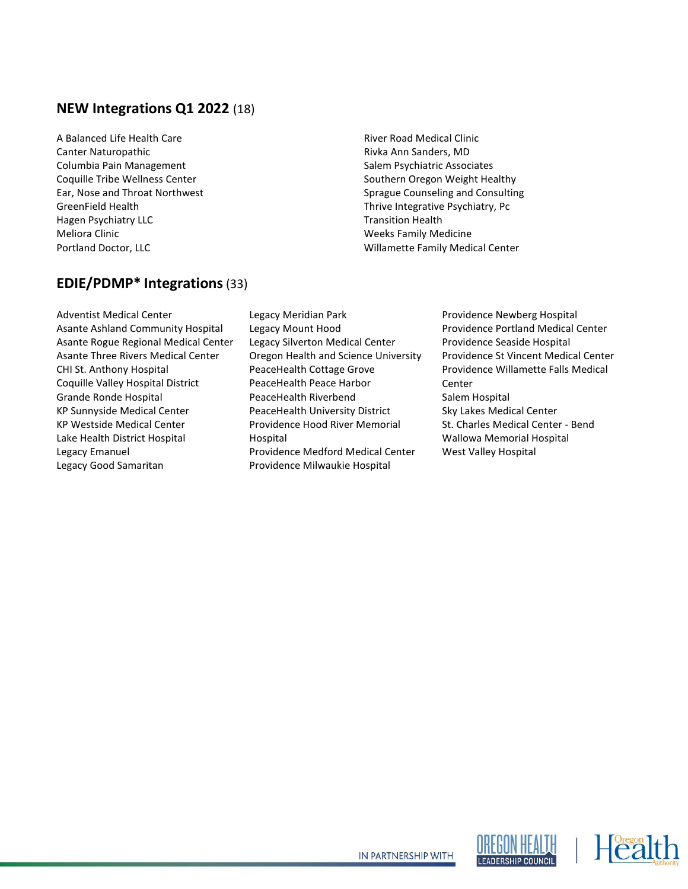### <span id="page-1-0"></span>**NEW Integrations Q1 2022** (18)

A Balanced Life Health Care Canter Naturopathic Columbia Pain Management Coquille Tribe Wellness Center Ear, Nose and Throat Northwest GreenField Health Hagen Psychiatry LLC Meliora Clinic Portland Doctor, LLC

River Road Medical Clinic Rivka Ann Sanders, MD Salem Psychiatric Associates Southern Oregon Weight Healthy Sprague Counseling and Consulting Thrive Integrative Psychiatry, Pc Transition Health Weeks Family Medicine Willamette Family Medical Center

### **EDIE/PDMP\* Integrations**(33)

Adventist Medical Center Asante Ashland Community Hospital Asante Rogue Regional Medical Center Asante Three Rivers Medical Center CHI St. Anthony Hospital Coquille Valley Hospital District Grande Ronde Hospital KP Sunnyside Medical Center KP Westside Medical Center Lake Health District Hospital Legacy Emanuel Legacy Good Samaritan

- Legacy Meridian Park Legacy Mount Hood Legacy Silverton Medical Center Oregon Health and Science University PeaceHealth Cottage Grove PeaceHealth Peace Harbor PeaceHealth Riverbend PeaceHealth University District Providence Hood River Memorial Hospital Providence Medford Medical Center Providence Milwaukie Hospital
- Providence Newberg Hospital Providence Portland Medical Center Providence Seaside Hospital Providence St Vincent Medical Center Providence Willamette Falls Medical Center Salem Hospital Sky Lakes Medical Center St. Charles Medical Center - Bend Wallowa Memorial Hospital West Valley Hospital





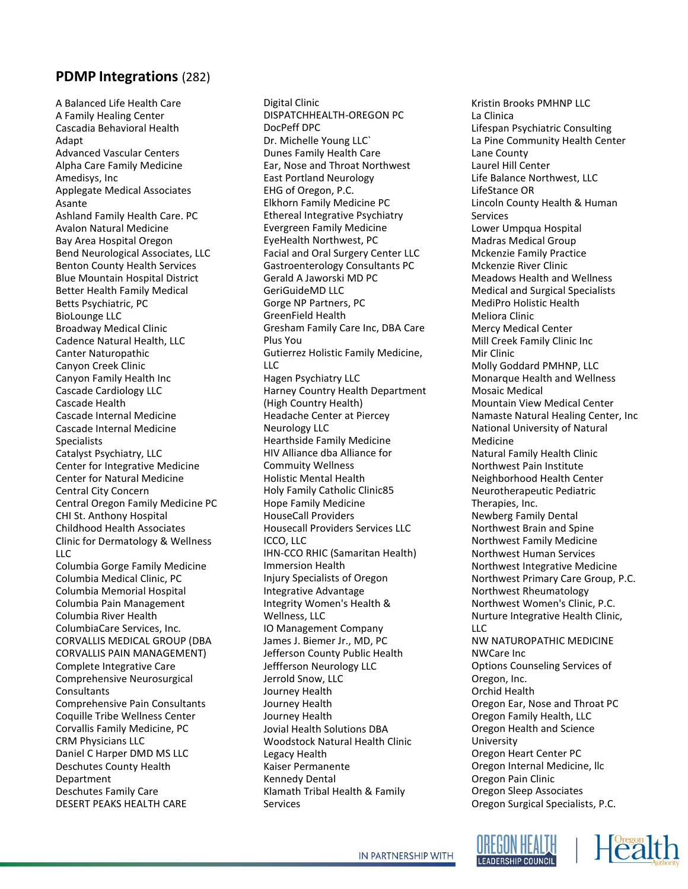#### **PDMP Integrations** (282)

A Balanced Life Health Care A Family Healing Center Cascadia Behavioral Health Adapt Advanced Vascular Centers Alpha Care Family Medicine Amedisys, Inc Applegate Medical Associates Asante Ashland Family Health Care. PC Avalon Natural Medicine Bay Area Hospital Oregon Bend Neurological Associates, LLC Benton County Health Services Blue Mountain Hospital District Better Health Family Medical Betts Psychiatric, PC BioLounge LLC Broadway Medical Clinic Cadence Natural Health, LLC Canter Naturopathic Canyon Creek Clinic Canyon Family Health Inc Cascade Cardiology LLC Cascade Health Cascade Internal Medicine Cascade Internal Medicine Specialists Catalyst Psychiatry, LLC Center for Integrative Medicine Center for Natural Medicine Central City Concern Central Oregon Family Medicine PC CHI St. Anthony Hospital Childhood Health Associates Clinic for Dermatology & Wellness LLC Columbia Gorge Family Medicine Columbia Medical Clinic, PC Columbia Memorial Hospital Columbia Pain Management Columbia River Health ColumbiaCare Services, Inc. CORVALLIS MEDICAL GROUP (DBA CORVALLIS PAIN MANAGEMENT) Complete Integrative Care Comprehensive Neurosurgical **Consultants** Comprehensive Pain Consultants Coquille Tribe Wellness Center Corvallis Family Medicine, PC CRM Physicians LLC Daniel C Harper DMD MS LLC Deschutes County Health Department Deschutes Family Care DESERT PEAKS HEALTH CARE

Digital Clinic DISPATCHHEALTH-OREGON PC DocPeff DPC Dr. Michelle Young LLC` Dunes Family Health Care Ear, Nose and Throat Northwest East Portland Neurology EHG of Oregon, P.C. Elkhorn Family Medicine PC Ethereal Integrative Psychiatry Evergreen Family Medicine EyeHealth Northwest, PC Facial and Oral Surgery Center LLC Gastroenterology Consultants PC Gerald A Jaworski MD PC GeriGuideMD LLC Gorge NP Partners, PC GreenField Health Gresham Family Care Inc, DBA Care Plus You Gutierrez Holistic Family Medicine, LLC Hagen Psychiatry LLC Harney Country Health Department (High Country Health) Headache Center at Piercey Neurology LLC Hearthside Family Medicine HIV Alliance dba Alliance for Commuity Wellness Holistic Mental Health Holy Family Catholic Clinic85 Hope Family Medicine HouseCall Providers Housecall Providers Services LLC ICCO, LLC IHN-CCO RHIC (Samaritan Health) Immersion Health Injury Specialists of Oregon Integrative Advantage Integrity Women's Health & Wellness, LLC IO Management Company James J. Biemer Jr., MD, PC Jefferson County Public Health Jeffferson Neurology LLC Jerrold Snow, LLC Journey Health Journey Health Journey Health Jovial Health Solutions DBA Woodstock Natural Health Clinic Legacy Health Kaiser Permanente Kennedy Dental Klamath Tribal Health & Family Services

Kristin Brooks PMHNP LLC La Clinica Lifespan Psychiatric Consulting La Pine Community Health Center Lane County Laurel Hill Center Life Balance Northwest, LLC LifeStance OR Lincoln County Health & Human Services Lower Umpqua Hospital Madras Medical Group Mckenzie Family Practice Mckenzie River Clinic Meadows Health and Wellness Medical and Surgical Specialists MediPro Holistic Health Meliora Clinic Mercy Medical Center Mill Creek Family Clinic Inc Mir Clinic Molly Goddard PMHNP, LLC Monarque Health and Wellness Mosaic Medical Mountain View Medical Center Namaste Natural Healing Center, Inc National University of Natural Medicine Natural Family Health Clinic Northwest Pain Institute Neighborhood Health Center Neurotherapeutic Pediatric Therapies, Inc. Newberg Family Dental Northwest Brain and Spine Northwest Family Medicine Northwest Human Services Northwest Integrative Medicine Northwest Primary Care Group, P.C. Northwest Rheumatology Northwest Women's Clinic, P.C. Nurture Integrative Health Clinic,  $\overline{11}$ NW NATUROPATHIC MEDICINE NWCare Inc Options Counseling Services of Oregon, Inc. Orchid Health Oregon Ear, Nose and Throat PC Oregon Family Health, LLC Oregon Health and Science University Oregon Heart Center PC Oregon Internal Medicine, llc Oregon Pain Clinic Oregon Sleep Associates Oregon Surgical Specialists, P.C.



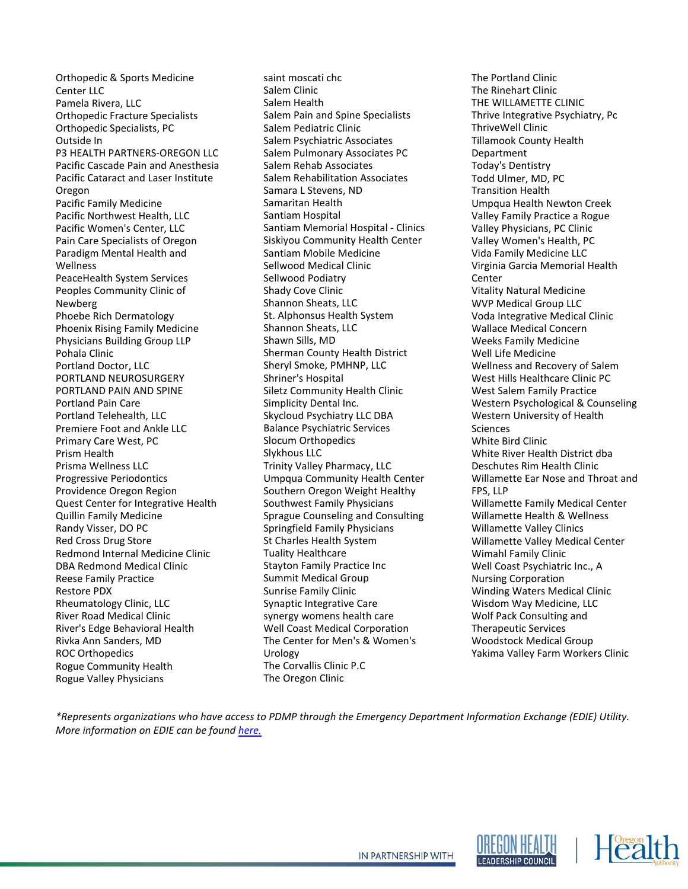Orthopedic & Sports Medicine Center LLC Pamela Rivera, LLC Orthopedic Fracture Specialists Orthopedic Specialists, PC Outside In P3 HEALTH PARTNERS-OREGON LLC Pacific Cascade Pain and Anesthesia Pacific Cataract and Laser Institute Oregon Pacific Family Medicine Pacific Northwest Health, LLC Pacific Women's Center, LLC Pain Care Specialists of Oregon Paradigm Mental Health and Wellness PeaceHealth System Services Peoples Community Clinic of Newberg Phoebe Rich Dermatology Phoenix Rising Family Medicine Physicians Building Group LLP Pohala Clinic Portland Doctor, LLC PORTLAND NEUROSURGERY PORTLAND PAIN AND SPINE Portland Pain Care Portland Telehealth, LLC Premiere Foot and Ankle LLC Primary Care West, PC Prism Health Prisma Wellness LLC Progressive Periodontics Providence Oregon Region Quest Center for Integrative Health Quillin Family Medicine Randy Visser, DO PC Red Cross Drug Store Redmond Internal Medicine Clinic DBA Redmond Medical Clinic Reese Family Practice Restore PDX Rheumatology Clinic, LLC River Road Medical Clinic River's Edge Behavioral Health Rivka Ann Sanders, MD ROC Orthopedics Rogue Community Health Rogue Valley Physicians

saint moscati chc Salem Clinic Salem Health Salem Pain and Spine Specialists Salem Pediatric Clinic Salem Psychiatric Associates Salem Pulmonary Associates PC Salem Rehab Associates Salem Rehabilitation Associates Samara L Stevens, ND Samaritan Health Santiam Hospital Santiam Memorial Hospital - Clinics Siskiyou Community Health Center Santiam Mobile Medicine Sellwood Medical Clinic Sellwood Podiatry Shady Cove Clinic Shannon Sheats, LLC St. Alphonsus Health System Shannon Sheats, LLC Shawn Sills, MD Sherman County Health District Sheryl Smoke, PMHNP, LLC Shriner's Hospital Siletz Community Health Clinic Simplicity Dental Inc. Skycloud Psychiatry LLC DBA Balance Psychiatric Services Slocum Orthopedics Slykhous LLC Trinity Valley Pharmacy, LLC Umpqua Community Health Center Southern Oregon Weight Healthy Southwest Family Physicians Sprague Counseling and Consulting Springfield Family Physicians St Charles Health System Tuality Healthcare Stayton Family Practice Inc Summit Medical Group Sunrise Family Clinic Synaptic Integrative Care synergy womens health care Well Coast Medical Corporation The Center for Men's & Women's Urology The Corvallis Clinic P.C The Oregon Clinic

The Portland Clinic The Rinehart Clinic THE WILLAMETTE CLINIC Thrive Integrative Psychiatry, Pc ThriveWell Clinic Tillamook County Health Department Today's Dentistry Todd Ulmer, MD, PC Transition Health Umpqua Health Newton Creek Valley Family Practice a Rogue Valley Physicians, PC Clinic Valley Women's Health, PC Vida Family Medicine LLC Virginia Garcia Memorial Health Center Vitality Natural Medicine WVP Medical Group LLC Voda Integrative Medical Clinic Wallace Medical Concern Weeks Family Medicine Well Life Medicine Wellness and Recovery of Salem West Hills Healthcare Clinic PC West Salem Family Practice Western Psychological & Counseling Western University of Health Sciences White Bird Clinic White River Health District dba Deschutes Rim Health Clinic Willamette Ear Nose and Throat and FPS, LLP Willamette Family Medical Center Willamette Health & Wellness Willamette Valley Clinics Willamette Valley Medical Center Wimahl Family Clinic Well Coast Psychiatric Inc., A Nursing Corporation Winding Waters Medical Clinic Wisdom Way Medicine, LLC Wolf Pack Consulting and Therapeutic Services Woodstock Medical Group Yakima Valley Farm Workers Clinic

*\*Represents organizations who have access to PDMP through the Emergency Department Information Exchange (EDIE) Utility. More information on EDIE can be found [here.](http://www.orhealthleadershipcouncil.org/edie/)*